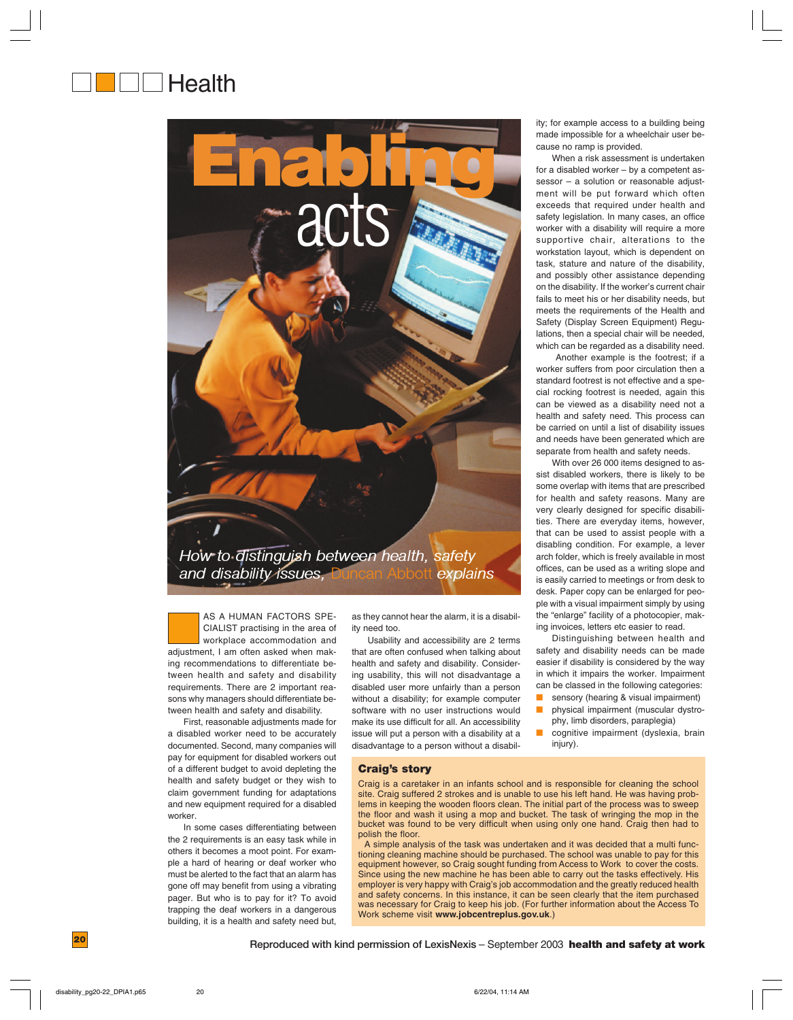# **Health**



adjustment, I am often asked when making recommendations to differentiate between health and safety and disability requirements. There are 2 important reasons why managers should differentiate between health and safety and disability. AS A HUMAN FACTORS SPE-CIALIST practising in the area of workplace accommodation and

First, reasonable adjustments made for a disabled worker need to be accurately documented. Second, many companies will pay for equipment for disabled workers out of a different budget to avoid depleting the health and safety budget or they wish to claim government funding for adaptations and new equipment required for a disabled worker.

In some cases differentiating between the 2 requirements is an easy task while in others it becomes a moot point. For example a hard of hearing or deaf worker who must be alerted to the fact that an alarm has gone off may benefit from using a vibrating pager. But who is to pay for it? To avoid trapping the deaf workers in a dangerous building, it is a health and safety need but, as they cannot hear the alarm, it is a disability need too.

Usability and accessibility are 2 terms that are often confused when talking about health and safety and disability. Considering usability, this will not disadvantage a disabled user more unfairly than a person without a disability; for example computer software with no user instructions would make its use difficult for all. An accessibility issue will put a person with a disability at a

disadvantage to a person without a disabil-**Craig's story** Craig is a caretaker in an infants school and is responsible for cleaning the school

site. Craig suffered 2 strokes and is unable to use his left hand. He was having problems in keeping the wooden floors clean. The initial part of the process was to sweep the floor and wash it using a mop and bucket. The task of wringing the mop in the bucket was found to be very difficult when using only one hand. Craig then had to polish the floor.

A simple analysis of the task was undertaken and it was decided that a multi functioning cleaning machine should be purchased. The school was unable to pay for this equipment however, so Craig sought funding from Access to Work to cover the costs. Since using the new machine he has been able to carry out the tasks effectively. His employer is very happy with Craig's job accommodation and the greatly reduced health and safety concerns. In this instance, it can be seen clearly that the item purchased was necessary for Craig to keep his job. (For further information about the Access To Work scheme visit **www.jobcentreplus.gov.uk**.)

ity; for example access to a building being made impossible for a wheelchair user because no ramp is provided.

When a risk assessment is undertaken for a disabled worker – by a competent assessor – a solution or reasonable adjustment will be put forward which often exceeds that required under health and safety legislation. In many cases, an office worker with a disability will require a more supportive chair, alterations to the workstation layout, which is dependent on task, stature and nature of the disability, and possibly other assistance depending on the disability. If the worker's current chair fails to meet his or her disability needs, but meets the requirements of the Health and Safety (Display Screen Equipment) Regulations, then a special chair will be needed, which can be regarded as a disability need.

 Another example is the footrest; if a worker suffers from poor circulation then a standard footrest is not effective and a special rocking footrest is needed, again this can be viewed as a disability need not a health and safety need. This process can be carried on until a list of disability issues and needs have been generated which are separate from health and safety needs.

With over 26 000 items designed to assist disabled workers, there is likely to be some overlap with items that are prescribed for health and safety reasons. Many are very clearly designed for specific disabilities. There are everyday items, however, that can be used to assist people with a disabling condition. For example, a lever arch folder, which is freely available in most offices, can be used as a writing slope and is easily carried to meetings or from desk to desk. Paper copy can be enlarged for people with a visual impairment simply by using the "enlarge" facility of a photocopier, making invoices, letters etc easier to read.

Distinguishing between health and safety and disability needs can be made easier if disability is considered by the way in which it impairs the worker. Impairment can be classed in the following categories:

- sensory (hearing & visual impairment)
- physical impairment (muscular dystrophy, limb disorders, paraplegia)
- cognitive impairment (dyslexia, brain injury).